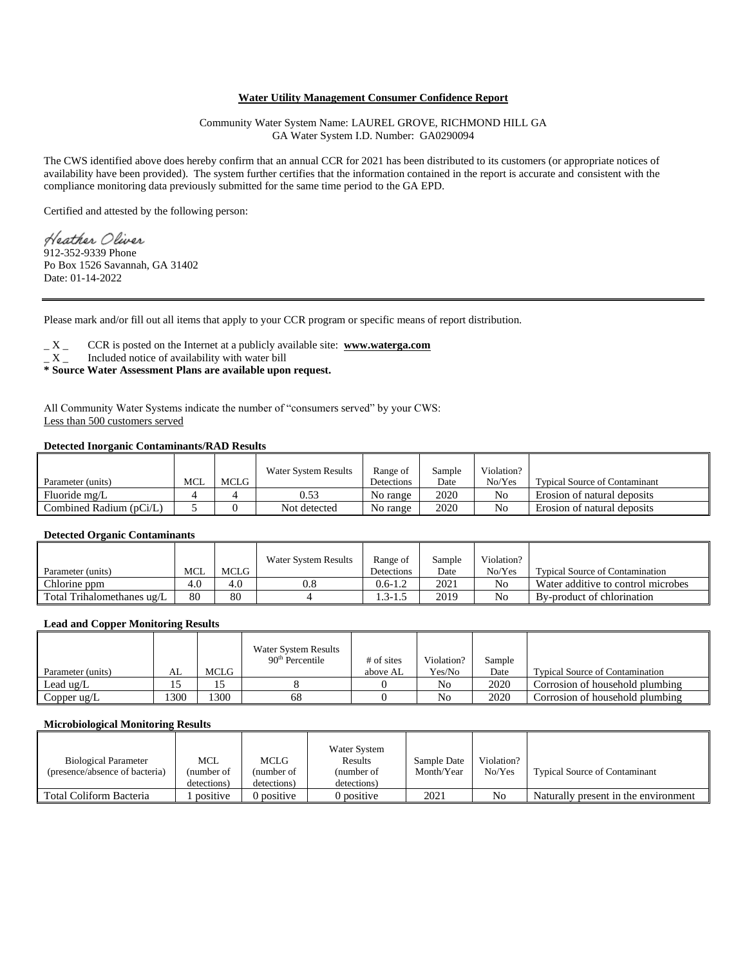## **Water Utility Management Consumer Confidence Report**

Community Water System Name: LAUREL GROVE, RICHMOND HILL GA GA Water System I.D. Number: GA0290094

The CWS identified above does hereby confirm that an annual CCR for 2021 has been distributed to its customers (or appropriate notices of availability have been provided). The system further certifies that the information contained in the report is accurate and consistent with the compliance monitoring data previously submitted for the same time period to the GA EPD.

Certified and attested by the following person:

Heather Oliver 912-352-9339 Phone Po Box 1526 Savannah, GA 31402 Date: 01-14-2022

Please mark and/or fill out all items that apply to your CCR program or specific means of report distribution.

\_ X \_ CCR is posted on the Internet at a publicly available site: **www.waterga.com**

 $\_ X$  Included notice of availability with water bill

**\* Source Water Assessment Plans are available upon request.** 

All Community Water Systems indicate the number of "consumers served" by your CWS: Less than 500 customers served

# **Detected Inorganic Contaminants/RAD Results**

|                         |     |       | Water System Results | Range of   | Sample | Violation? |                                      |
|-------------------------|-----|-------|----------------------|------------|--------|------------|--------------------------------------|
| Parameter (units)       | MCL | MCLG. |                      | Detections | Date   | No/Yes     | <b>Typical Source of Contaminant</b> |
| Fluoride mg/L           |     |       | 0.53                 | No range   | 2020   | No         | Erosion of natural deposits          |
| Combined Radium (pCi/L) |     |       | Not detected         | No range   | 2020   | No         | Erosion of natural deposits          |

#### **Detected Organic Contaminants**

|                            |     |      | <b>Water System Results</b> | Range of    | Sample | Violation? |                                        |
|----------------------------|-----|------|-----------------------------|-------------|--------|------------|----------------------------------------|
| Parameter (units)          | MCL | MCLG |                             | Detections  | Date   | No/Yes     | <b>Typical Source of Contamination</b> |
| Chlorine ppm               | 4.U | 4.0  | $0.8\,$                     | $0.6 - 1.2$ | 2021   | No         | Water additive to control microbes     |
| Total Trihalomethanes ug/L | 80  | 80   |                             | 1.3-1.5     | 2019   | No         | By-product of chlorination             |

### **Lead and Copper Monitoring Results**

|                   |     |      | Water System Results<br>90 <sup>th</sup> Percentile | # of sites | Violation?     | Sample |                                        |
|-------------------|-----|------|-----------------------------------------------------|------------|----------------|--------|----------------------------------------|
| Parameter (units) | AL  | MCLG |                                                     | above AL   | Yes/No         | Date   | <b>Typical Source of Contamination</b> |
| Lead $\mu$ g/L    |     |      |                                                     |            | No             | 2020   | Corrosion of household plumbing        |
| Copper ug/L       | 300 | 300  | 68                                                  |            | N <sub>o</sub> | 2020   | Corrosion of household plumbing        |

## **Microbiological Monitoring Results**

| <b>Biological Parameter</b><br>(presence/absence of bacteria) | MCL<br>(number of<br>detections) | MCLG<br>(number of<br>detections) | Water System<br>Results<br>(number of<br>detections) | Sample Date<br>Month/Year | Violation?<br>No/Yes | <b>Typical Source of Contaminant</b> |
|---------------------------------------------------------------|----------------------------------|-----------------------------------|------------------------------------------------------|---------------------------|----------------------|--------------------------------------|
| Total Coliform Bacteria                                       | positive                         | 0 positive                        | 0 positive                                           | 2021                      | No                   | Naturally present in the environment |